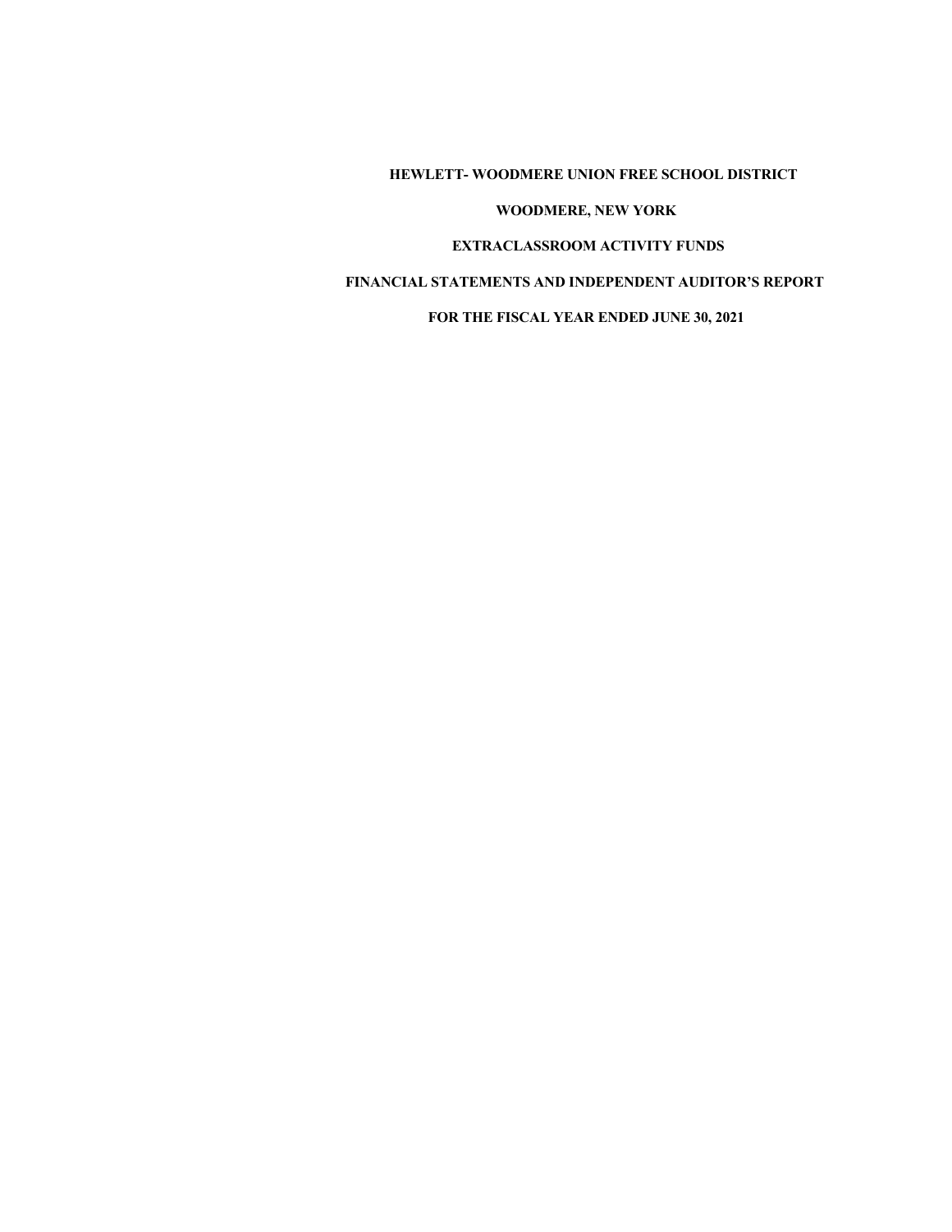**HEWLETT- WOODMERE UNION FREE SCHOOL DISTRICT** 

### **WOODMERE, NEW YORK**

### **EXTRACLASSROOM ACTIVITY FUNDS**

### **FINANCIAL STATEMENTS AND INDEPENDENT AUDITOR'S REPORT**

### **FOR THE FISCAL YEAR ENDED JUNE 30, 2021**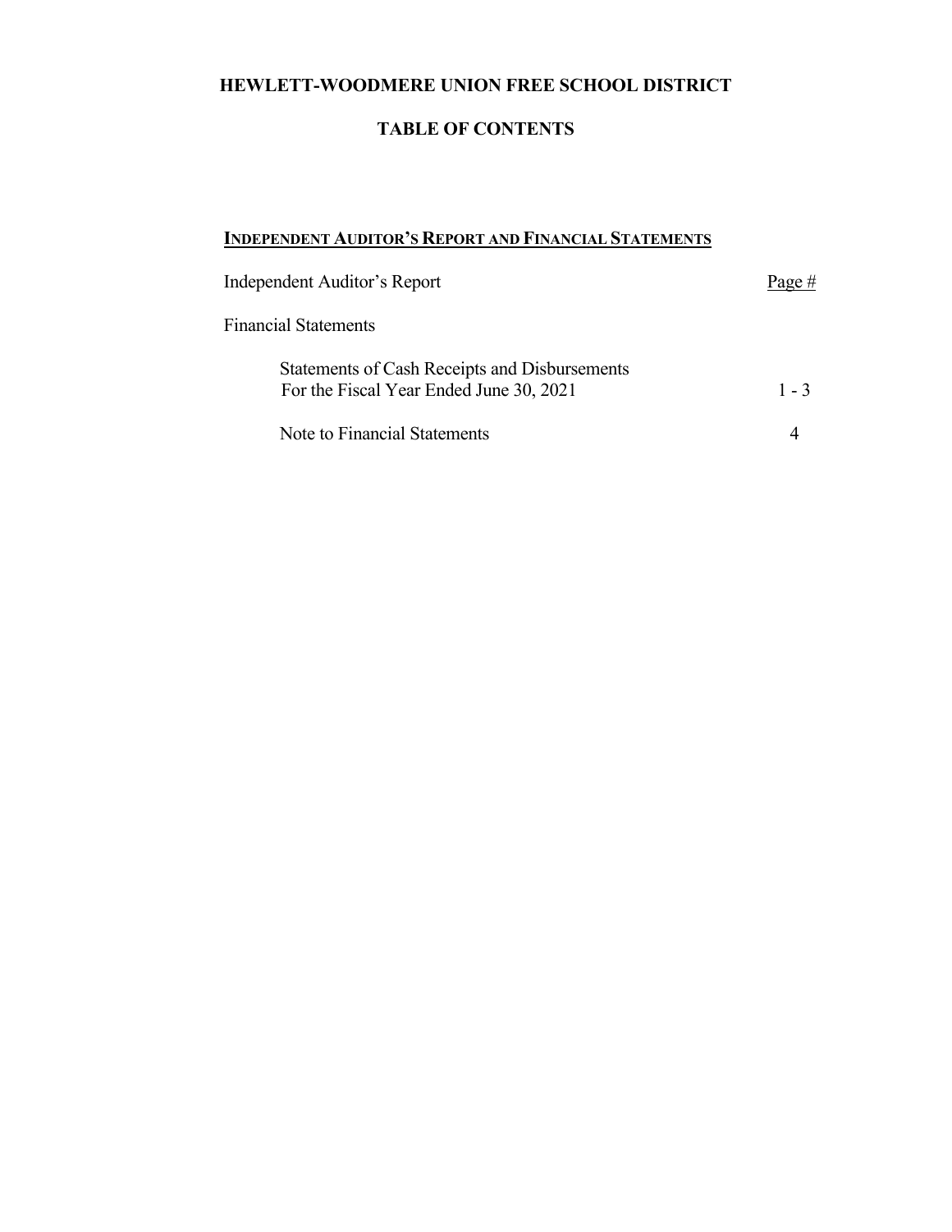# **HEWLETT-WOODMERE UNION FREE SCHOOL DISTRICT**

# **TABLE OF CONTENTS**

## **INDEPENDENT AUDITOR'S REPORT AND FINANCIAL STATEMENTS**

| Independent Auditor's Report                                                             | Page $#$ |  |  |
|------------------------------------------------------------------------------------------|----------|--|--|
| <b>Financial Statements</b>                                                              |          |  |  |
| Statements of Cash Receipts and Disbursements<br>For the Fiscal Year Ended June 30, 2021 | $1 - 3$  |  |  |
| Note to Financial Statements                                                             |          |  |  |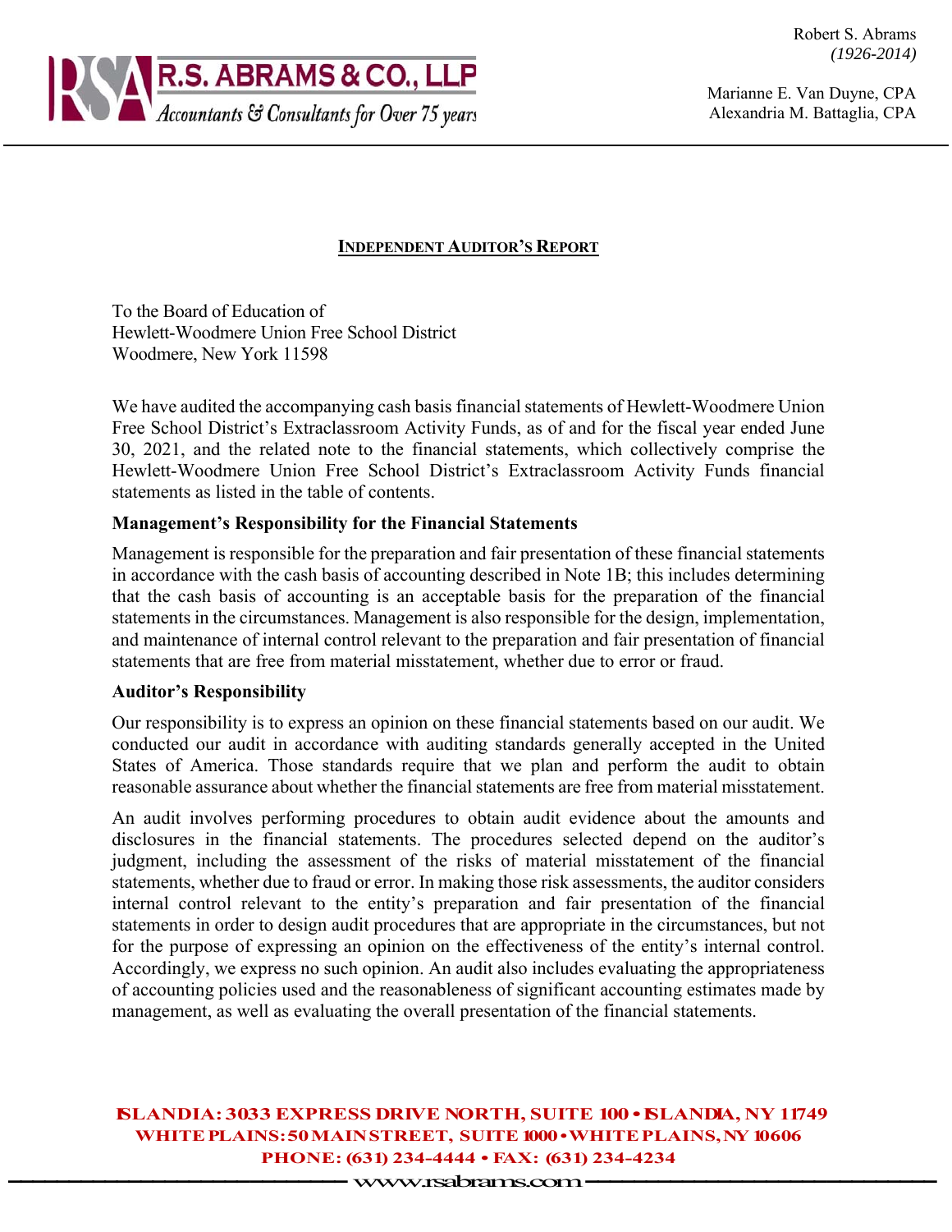Robert S. Abrams *(1926-2014)* 



Marianne E. Van Duyne, CPA Alexandria M. Battaglia, CPA

## **INDEPENDENT AUDITOR'S REPORT**

To the Board of Education of Hewlett-Woodmere Union Free School District Woodmere, New York 11598

We have audited the accompanying cash basis financial statements of Hewlett-Woodmere Union Free School District's Extraclassroom Activity Funds, as of and for the fiscal year ended June 30, 2021, and the related note to the financial statements, which collectively comprise the Hewlett-Woodmere Union Free School District's Extraclassroom Activity Funds financial statements as listed in the table of contents.

## **Management's Responsibility for the Financial Statements**

Management is responsible for the preparation and fair presentation of these financial statements in accordance with the cash basis of accounting described in Note 1B; this includes determining that the cash basis of accounting is an acceptable basis for the preparation of the financial statements in the circumstances. Management is also responsible for the design, implementation, and maintenance of internal control relevant to the preparation and fair presentation of financial statements that are free from material misstatement, whether due to error or fraud.

### **Auditor's Responsibility**

Our responsibility is to express an opinion on these financial statements based on our audit. We conducted our audit in accordance with auditing standards generally accepted in the United States of America. Those standards require that we plan and perform the audit to obtain reasonable assurance about whether the financial statements are free from material misstatement.

An audit involves performing procedures to obtain audit evidence about the amounts and disclosures in the financial statements. The procedures selected depend on the auditor's judgment, including the assessment of the risks of material misstatement of the financial statements, whether due to fraud or error. In making those risk assessments, the auditor considers internal control relevant to the entity's preparation and fair presentation of the financial statements in order to design audit procedures that are appropriate in the circumstances, but not for the purpose of expressing an opinion on the effectiveness of the entity's internal control. Accordingly, we express no such opinion. An audit also includes evaluating the appropriateness of accounting policies used and the reasonableness of significant accounting estimates made by management, as well as evaluating the overall presentation of the financial statements.

# **ISLANDIA: 3033 EXPRESS DRIVE NORTH, SUITE 100 • ISLANDIA, NY 11749 WHITE PLAINS: 50 MAIN STREET, SUITE 1000 • WHITE PLAINS, NY 10606 PHONE: (631) 234-4444 • FAX: (631) 234-4234 -------------------- --------** www.rsabrams.com **-------------------- ---------**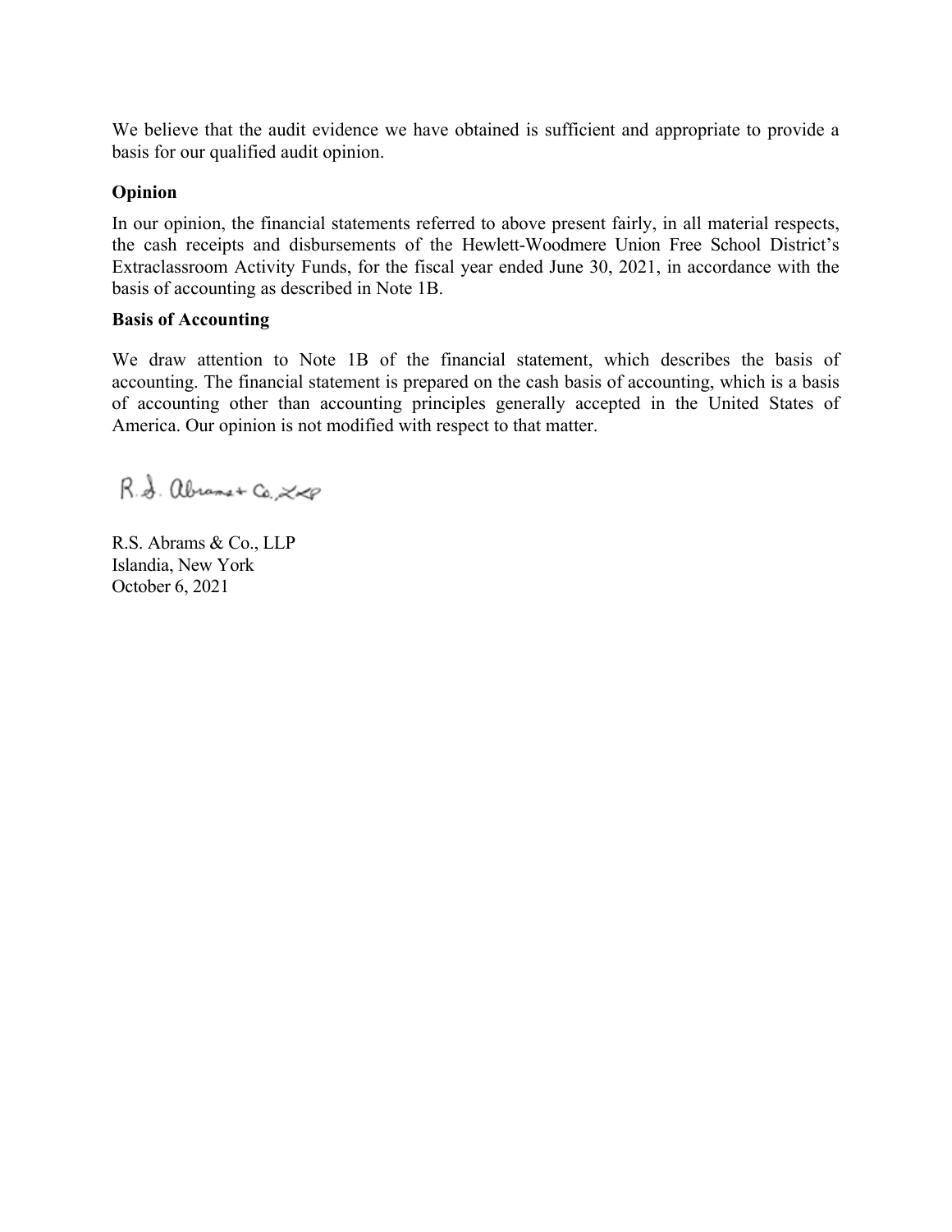We believe that the audit evidence we have obtained is sufficient and appropriate to provide a basis for our qualified audit opinion.

## **Opinion**

In our opinion, the financial statements referred to above present fairly, in all material respects, the cash receipts and disbursements of the Hewlett-Woodmere Union Free School District's Extraclassroom Activity Funds, for the fiscal year ended June 30, 2021, in accordance with the basis of accounting as described in Note 1B.

### **Basis of Accounting**

We draw attention to Note 1B of the financial statement, which describes the basis of accounting. The financial statement is prepared on the cash basis of accounting, which is a basis of accounting other than accounting principles generally accepted in the United States of America. Our opinion is not modified with respect to that matter.

R.S. abrams+ Co., 200

R.S. Abrams & Co., LLP Islandia, New York October 6, 2021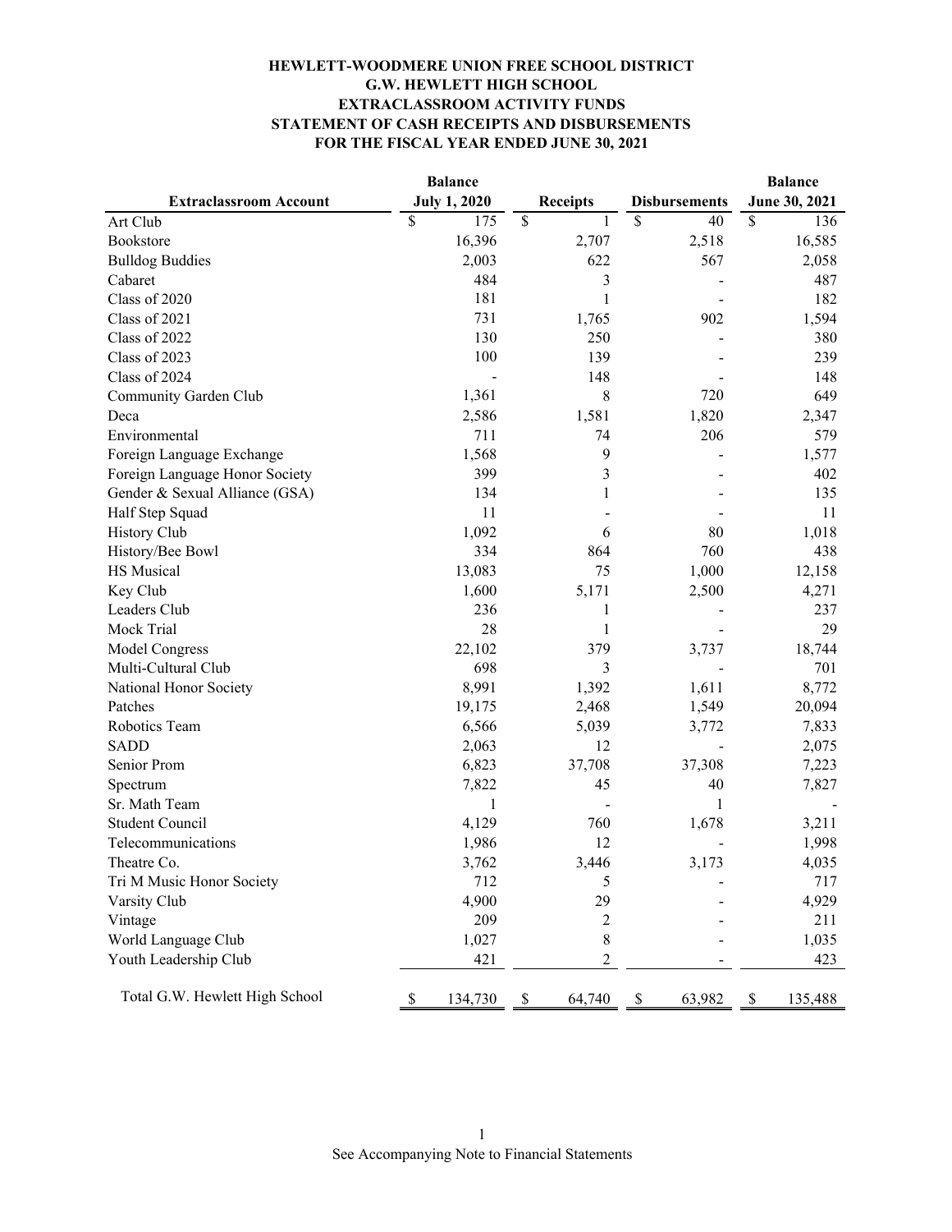### **HEWLETT-WOODMERE UNION FREE SCHOOL DISTRICT G.W. HEWLETT HIGH SCHOOL EXTRACLASSROOM ACTIVITY FUNDS STATEMENT OF CASH RECEIPTS AND DISBURSEMENTS FOR THE FISCAL YEAR ENDED JUNE 30, 2021**

|                                | <b>Balance</b>      |                 |                      | <b>Balance</b> |  |
|--------------------------------|---------------------|-----------------|----------------------|----------------|--|
| <b>Extraclassroom Account</b>  | <b>July 1, 2020</b> | <b>Receipts</b> | <b>Disbursements</b> | June 30, 2021  |  |
| Art Club                       | \$<br>175           | \$<br>1         | \$<br>40             | \$<br>136      |  |
| Bookstore                      | 16,396              | 2,707           | 2,518                | 16,585         |  |
| <b>Bulldog Buddies</b>         | 2,003               | 622             | 567                  | 2,058          |  |
| Cabaret                        | 484                 | 3               |                      | 487            |  |
| Class of 2020                  | 181                 | 1               |                      | 182            |  |
| Class of 2021                  | 731                 | 1,765           | 902                  | 1,594          |  |
| Class of 2022                  | 130                 | 250             |                      | 380            |  |
| Class of 2023                  | 100                 | 139             |                      | 239            |  |
| Class of 2024                  |                     | 148             |                      | 148            |  |
| Community Garden Club          | 1,361               | 8               | 720                  | 649            |  |
| Deca                           | 2,586               | 1,581           | 1,820                | 2,347          |  |
| Environmental                  | 711                 | 74              | 206                  | 579            |  |
| Foreign Language Exchange      | 1,568               | 9               |                      | 1,577          |  |
| Foreign Language Honor Society | 399                 | 3               |                      | 402            |  |
| Gender & Sexual Alliance (GSA) | 134                 | 1               |                      | 135            |  |
| Half Step Squad                | 11                  |                 |                      | 11             |  |
| <b>History Club</b>            | 1,092               | 6               | 80                   | 1,018          |  |
| History/Bee Bowl               | 334                 | 864             | 760                  | 438            |  |
| HS Musical                     | 13,083              | 75              | 1,000                | 12,158         |  |
| Key Club                       | 1,600               | 5,171           | 2,500                | 4,271          |  |
| Leaders Club                   | 236                 | 1               |                      | 237            |  |
| Mock Trial                     | 28                  | 1               |                      | 29             |  |
| Model Congress                 | 22,102              | 379             | 3,737                | 18,744         |  |
| Multi-Cultural Club            | 698                 | 3               |                      | 701            |  |
| National Honor Society         | 8,991               | 1,392           | 1,611                | 8,772          |  |
| Patches                        | 19,175              | 2,468           | 1,549                | 20,094         |  |
| Robotics Team                  | 6,566               | 5,039           | 3,772                | 7,833          |  |
| <b>SADD</b>                    | 2,063               | 12              |                      | 2,075          |  |
| Senior Prom                    | 6,823               | 37,708          | 37,308               | 7,223          |  |
| Spectrum                       | 7,822               | 45              | 40                   | 7,827          |  |
| Sr. Math Team                  | 1                   |                 | 1                    |                |  |
| <b>Student Council</b>         | 4,129               | 760             | 1,678                | 3,211          |  |
| Telecommunications             | 1,986               | 12              |                      | 1,998          |  |
| Theatre Co.                    | 3,762               | 3,446           | 3,173                | 4,035          |  |
| Tri M Music Honor Society      | 712                 | 5               |                      | 717            |  |
| Varsity Club                   | 4,900               | 29              |                      | 4,929          |  |
| Vintage                        | 209                 | 2               |                      | 211            |  |
| World Language Club            | 1,027               | $\,$ 8 $\,$     |                      | 1,035          |  |
| Youth Leadership Club          | 421                 | $\overline{c}$  |                      | 423            |  |
| Total G.W. Hewlett High School | 134,730<br>\$       | \$<br>64,740    | 63,982<br>\$         | 135,488<br>\$  |  |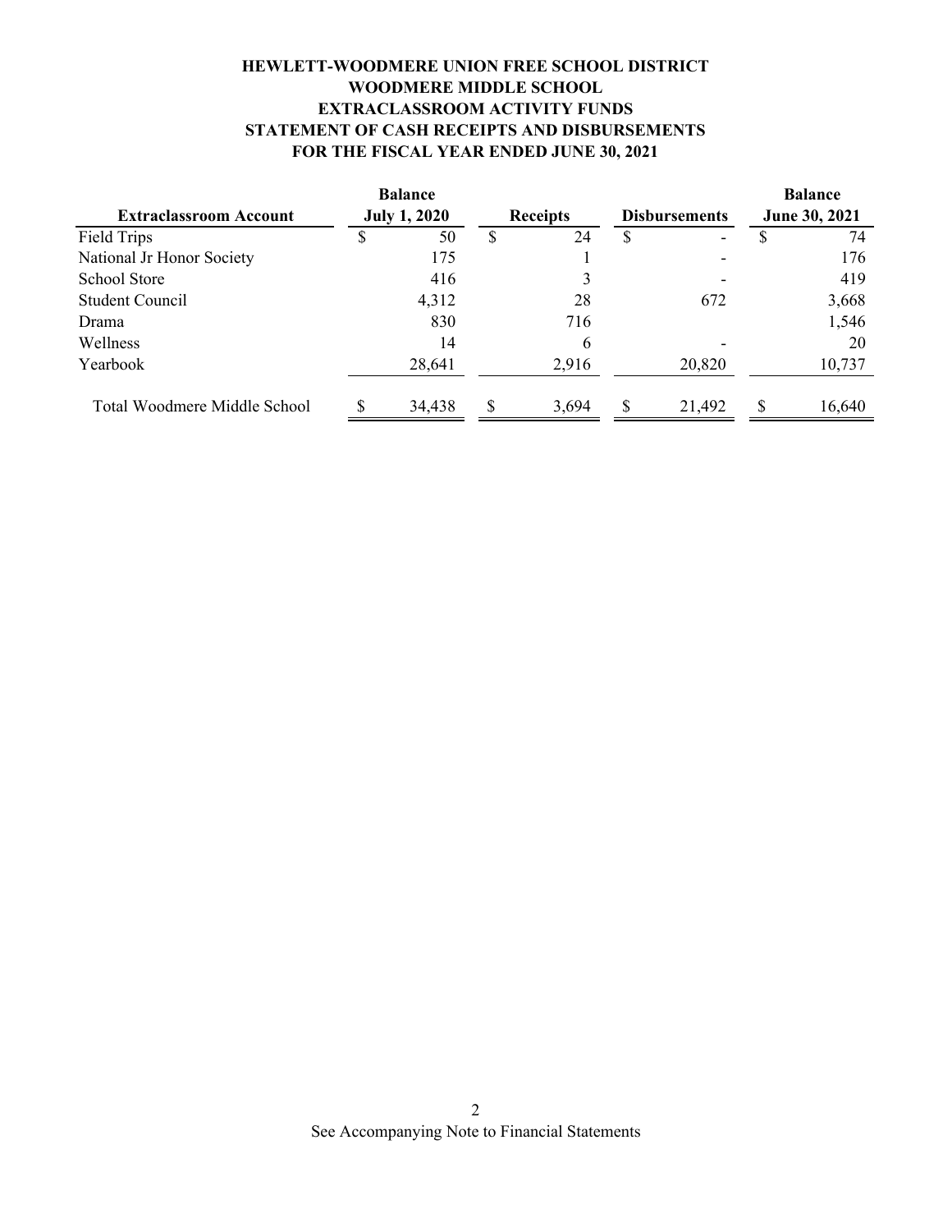# **FOR THE FISCAL YEAR ENDED JUNE 30, 2021 HEWLETT-WOODMERE UNION FREE SCHOOL DISTRICT WOODMERE MIDDLE SCHOOL EXTRACLASSROOM ACTIVITY FUNDS STATEMENT OF CASH RECEIPTS AND DISBURSEMENTS**

|                               | <b>Balance</b>      |        |                 |       |                      |        | <b>Balance</b><br>June 30, 2021 |        |
|-------------------------------|---------------------|--------|-----------------|-------|----------------------|--------|---------------------------------|--------|
| <b>Extraclassroom Account</b> | <b>July 1, 2020</b> |        | <b>Receipts</b> |       | <b>Disbursements</b> |        |                                 |        |
| Field Trips                   | S                   | 50     |                 | 24    | S                    |        |                                 | 74     |
| National Jr Honor Society     |                     | 175    |                 |       |                      |        |                                 | 176    |
| <b>School Store</b>           |                     | 416    |                 | 3     |                      |        |                                 | 419    |
| Student Council               |                     | 4,312  |                 | 28    |                      | 672    |                                 | 3,668  |
| Drama                         |                     | 830    |                 | 716   |                      |        |                                 | 1,546  |
| Wellness                      |                     | 14     |                 | 6     |                      |        |                                 | 20     |
| Yearbook                      |                     | 28,641 |                 | 2,916 |                      | 20,820 |                                 | 10,737 |
| Total Woodmere Middle School  |                     | 34,438 |                 | 3,694 |                      | 21,492 | \$.                             | 16,640 |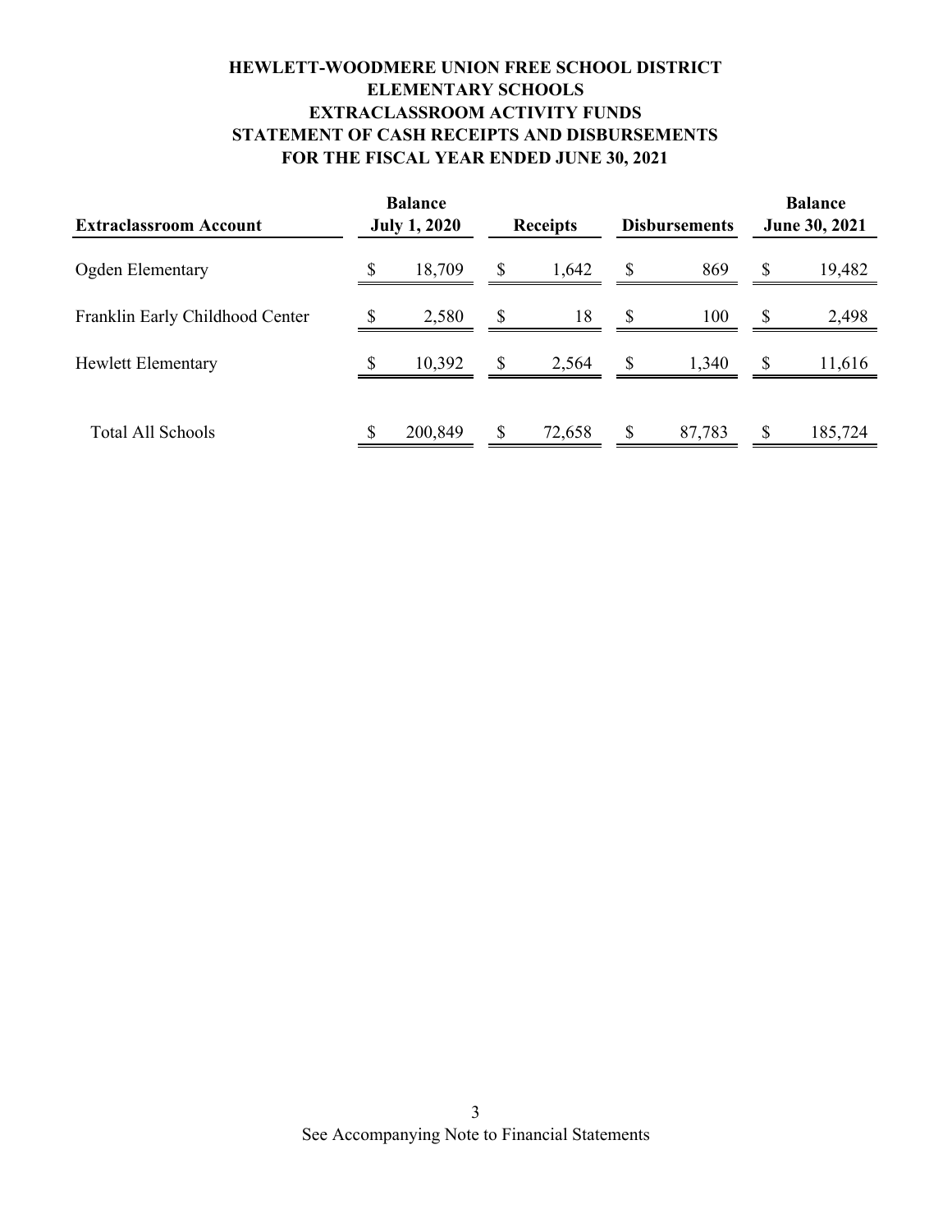# **FOR THE FISCAL YEAR ENDED JUNE 30, 2021 HEWLETT-WOODMERE UNION FREE SCHOOL DISTRICT ELEMENTARY SCHOOLS EXTRACLASSROOM ACTIVITY FUNDS STATEMENT OF CASH RECEIPTS AND DISBURSEMENTS**

| <b>Extraclassroom Account</b>   | <b>Balance</b><br><b>July 1, 2020</b> |         | <b>Receipts</b> |        | <b>Disbursements</b> |        | <b>Balance</b><br><b>June 30, 2021</b> |         |
|---------------------------------|---------------------------------------|---------|-----------------|--------|----------------------|--------|----------------------------------------|---------|
| Ogden Elementary                |                                       | 18,709  | $\mathbb{S}$    | 1,642  | $\mathbb{S}$         | 869    | $\boldsymbol{\mathsf{S}}$              | 19,482  |
| Franklin Early Childhood Center |                                       | 2,580   | $\mathbb{S}$    | 18     | <sup>\$</sup>        | 100    | \$                                     | 2,498   |
| <b>Hewlett Elementary</b>       |                                       | 10,392  | $\mathbb{S}$    | 2,564  | $\mathbb{S}$         | 1,340  | \$                                     | 11,616  |
| Total All Schools               | \$                                    | 200,849 | $\mathbb{S}$    | 72,658 | \$                   | 87,783 | \$                                     | 185,724 |